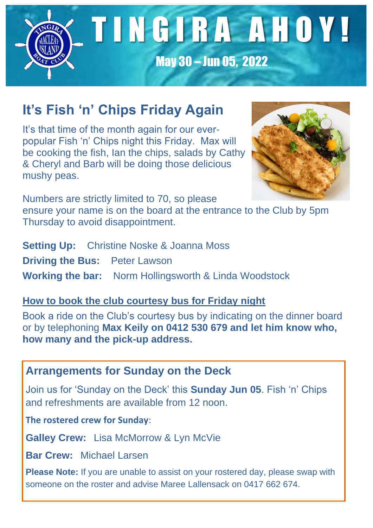

# **It's Fish 'n' Chips Friday Again**

It's that time of the month again for our everpopular Fish 'n' Chips night this Friday. Max will be cooking the fish, Ian the chips, salads by Cathy & Cheryl and Barb will be doing those delicious mushy peas.



Numbers are strictly limited to 70, so please ensure your name is on the board at the entrance to the Club by 5pm Thursday to avoid disappointment.

**Setting Up:** Christine Noske & Joanna Moss **Driving the Bus:** Peter Lawson **Working the bar:** Norm Hollingsworth & Linda Woodstock

#### **How to book the club courtesy bus for Friday night**

Book a ride on the Club's courtesy bus by indicating on the dinner board or by telephoning **Max Keily on 0412 530 679 and let him know who, how many and the pick-up address.**

### **Arrangements for Sunday on the Deck**

Join us for 'Sunday on the Deck' this **Sunday Jun 05**. Fish 'n' Chips and refreshments are available from 12 noon.

**The rostered crew for Sunday**:

**Galley Crew:** Lisa McMorrow & Lyn McVie

**Bar Crew:** Michael Larsen

**Please Note:** If you are unable to assist on your rostered day, please swap with someone on the roster and advise Maree Lallensack on 0417 662 674.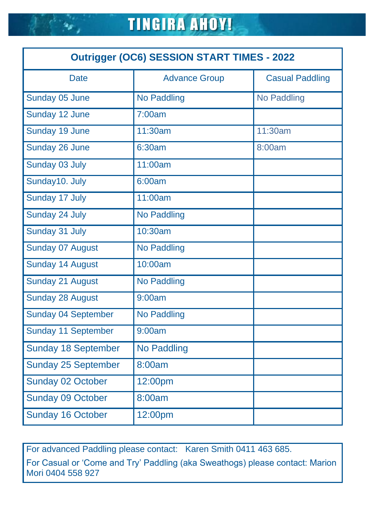| <b>Outrigger (OC6) SESSION START TIMES - 2022</b> |                      |                        |  |
|---------------------------------------------------|----------------------|------------------------|--|
| <b>Date</b>                                       | <b>Advance Group</b> | <b>Casual Paddling</b> |  |
| Sunday 05 June                                    | <b>No Paddling</b>   | <b>No Paddling</b>     |  |
| Sunday 12 June                                    | 7:00am               |                        |  |
| Sunday 19 June                                    | 11:30am              | 11:30am                |  |
| Sunday 26 June                                    | 6:30am               | 8:00am                 |  |
| Sunday 03 July                                    | 11:00am              |                        |  |
| Sunday10. July                                    | 6:00am               |                        |  |
| Sunday 17 July                                    | 11:00am              |                        |  |
| Sunday 24 July                                    | <b>No Paddling</b>   |                        |  |
| Sunday 31 July                                    | 10:30am              |                        |  |
| <b>Sunday 07 August</b>                           | <b>No Paddling</b>   |                        |  |
| <b>Sunday 14 August</b>                           | 10:00am              |                        |  |
| <b>Sunday 21 August</b>                           | <b>No Paddling</b>   |                        |  |
| <b>Sunday 28 August</b>                           | 9:00am               |                        |  |
| <b>Sunday 04 September</b>                        | <b>No Paddling</b>   |                        |  |
| <b>Sunday 11 September</b>                        | 9:00am               |                        |  |
| <b>Sunday 18 September</b>                        | <b>No Paddling</b>   |                        |  |
| <b>Sunday 25 September</b>                        | 8:00am               |                        |  |
| <b>Sunday 02 October</b>                          | 12:00pm              |                        |  |
| <b>Sunday 09 October</b>                          | 8:00am               |                        |  |
| <b>Sunday 16 October</b>                          | 12:00pm              |                        |  |

For advanced Paddling please contact: Karen Smith 0411 463 685.

For Casual or 'Come and Try' Paddling (aka Sweathogs) please contact: Marion Mori 0404 558 927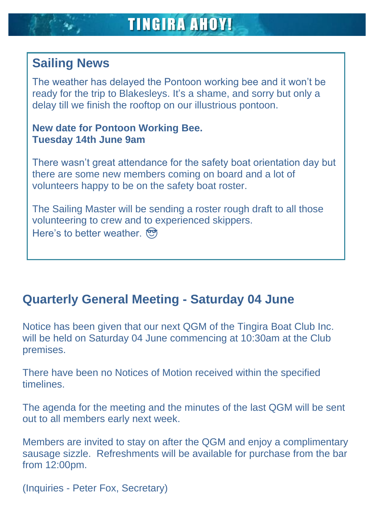# **Sailing News**

The weather has delayed the Pontoon working bee and it won't be ready for the trip to Blakesleys. It's a shame, and sorry but only a delay till we finish the rooftop on our illustrious pontoon.

#### **New date for Pontoon Working Bee. Tuesday 14th June 9am**

There wasn't great attendance for the safety boat orientation day but there are some new members coming on board and a lot of volunteers happy to be on the safety boat roster.

The Sailing Master will be sending a roster rough draft to all those volunteering to crew and to experienced skippers. Here's to better weather.

### **Quarterly General Meeting - Saturday 04 June**

Notice has been given that our next QGM of the Tingira Boat Club Inc. will be held on Saturday 04 June commencing at 10:30am at the Club premises.

There have been no Notices of Motion received within the specified timelines.

The agenda for the meeting and the minutes of the last QGM will be sent out to all members early next week.

Members are invited to stay on after the QGM and enjoy a complimentary sausage sizzle. Refreshments will be available for purchase from the bar from 12:00pm.

(Inquiries - Peter Fox, Secretary)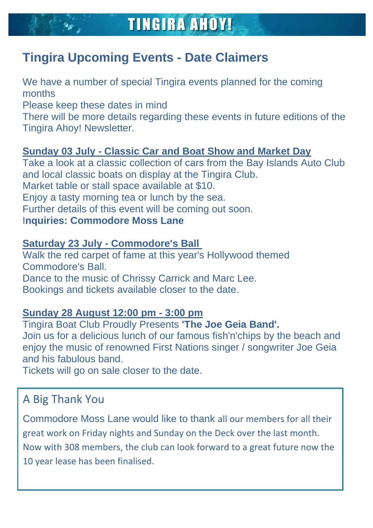# **Tingira Upcoming Events - Date Claimers**

We have a number of special Tingira events planned for the coming months Please keep these dates in mind There will be more details regarding these events in future editions of the Tingira Ahoy! Newsletter.

#### **Sunday 03 July - Classic Car and Boat Show and Market Day**

Take a look at a classic collection of cars from the Bay Islands Auto Club and local classic boats on display at the Tingira Club. Market table or stall space available at \$10. Enjoy a tasty morning tea or lunch by the sea. Further details of this event will be coming out soon. I**nquiries: Commodore Moss Lane**

#### **Saturday 23 July - Commodore's Ball**

Walk the red carpet of fame at this year's Hollywood themed Commodore's Ball. Dance to the music of Chrissy Carrick and Marc Lee. Bookings and tickets available closer to the date.

#### **Sunday 28 August 12:00 pm - 3:00 pm**

Tingira Boat Club Proudly Presents **'The Joe Geia Band'.**

Join us for a delicious lunch of our famous fish'n'chips by the beach and enjoy the music of renowned First Nations singer / songwriter Joe Geia and his fabulous band.

Tickets will go on sale closer to the date.

## A Big Thank You

Commodore Moss Lane would like to thank all our members for all their great work on Friday nights and Sunday on the Deck over the last month. Now with 308 members, the club can look forward to a great future now the 10 year lease has been finalised.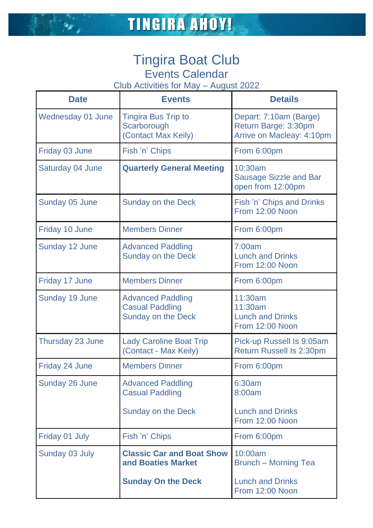### Tingira Boat Club Events Calendar

Club Activities for May – August 2022

| <b>Date</b>              | <b>Events</b>                                                                   | <b>Details</b>                                                              |
|--------------------------|---------------------------------------------------------------------------------|-----------------------------------------------------------------------------|
| <b>Wednesday 01 June</b> | <b>Tingira Bus Trip to</b><br>Scarborough<br>(Contact Max Keily)                | Depart: 7:10am (Barge)<br>Return Barge: 3:30pm<br>Arrive on Macleay: 4:10pm |
| Friday 03 June           | Fish 'n' Chips                                                                  | From 6:00pm                                                                 |
| Saturday 04 June         | <b>Quarterly General Meeting</b>                                                | 10:30am<br><b>Sausage Sizzle and Bar</b><br>open from 12:00pm               |
| Sunday 05 June           | <b>Sunday on the Deck</b>                                                       | Fish 'n' Chips and Drinks<br>From 12:00 Noon                                |
| Friday 10 June           | <b>Members Dinner</b>                                                           | From 6:00pm                                                                 |
| Sunday 12 June           | <b>Advanced Paddling</b><br><b>Sunday on the Deck</b>                           | 7:00am<br><b>Lunch and Drinks</b><br>From 12:00 Noon                        |
| Friday 17 June           | <b>Members Dinner</b>                                                           | From 6:00pm                                                                 |
| Sunday 19 June           | <b>Advanced Paddling</b><br><b>Casual Paddling</b><br><b>Sunday on the Deck</b> | 11:30am<br>11:30am<br><b>Lunch and Drinks</b><br>From 12:00 Noon            |
| Thursday 23 June         | <b>Lady Caroline Boat Trip</b><br>(Contact - Max Keily)                         | Pick-up Russell Is 9:05am<br><b>Return Russell Is 2:30pm</b>                |
| Friday 24 June           | <b>Members Dinner</b>                                                           | From 6:00pm                                                                 |
| Sunday 26 June           | <b>Advanced Paddling</b><br><b>Casual Paddling</b>                              | 6:30am<br>8:00am                                                            |
|                          | <b>Sunday on the Deck</b>                                                       | <b>Lunch and Drinks</b><br>From 12:00 Noon                                  |
| Friday 01 July           | Fish 'n' Chips                                                                  | From 6:00pm                                                                 |
| Sunday 03 July           | <b>Classic Car and Boat Show</b><br>and Boaties Market                          | 10:00am<br><b>Brunch – Morning Tea</b>                                      |
|                          | <b>Sunday On the Deck</b>                                                       | <b>Lunch and Drinks</b><br>From 12:00 Noon                                  |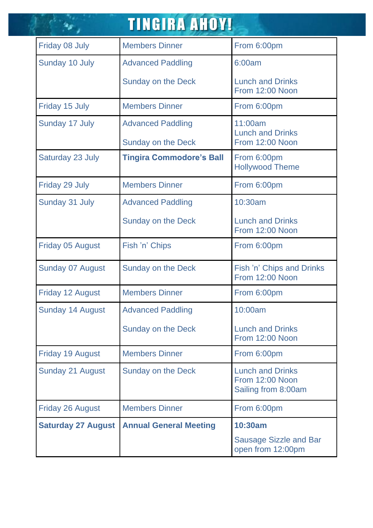|                           | <b>TINGIRA AHOY!</b>            |                                                                   |
|---------------------------|---------------------------------|-------------------------------------------------------------------|
| Friday 08 July            | <b>Members Dinner</b>           | From 6:00pm                                                       |
| Sunday 10 July            | <b>Advanced Paddling</b>        | 6:00am                                                            |
|                           | <b>Sunday on the Deck</b>       | <b>Lunch and Drinks</b><br>From 12:00 Noon                        |
| Friday 15 July            | <b>Members Dinner</b>           | From 6:00pm                                                       |
| Sunday 17 July            | <b>Advanced Paddling</b>        | 11:00am<br><b>Lunch and Drinks</b>                                |
|                           | <b>Sunday on the Deck</b>       | From 12:00 Noon                                                   |
| Saturday 23 July          | <b>Tingira Commodore's Ball</b> | From 6:00pm<br><b>Hollywood Theme</b>                             |
| Friday 29 July            | <b>Members Dinner</b>           | From 6:00pm                                                       |
| Sunday 31 July            | <b>Advanced Paddling</b>        | 10:30am                                                           |
|                           | Sunday on the Deck              | <b>Lunch and Drinks</b><br>From 12:00 Noon                        |
| <b>Friday 05 August</b>   | Fish 'n' Chips                  | From 6:00pm                                                       |
| <b>Sunday 07 August</b>   | <b>Sunday on the Deck</b>       | Fish 'n' Chips and Drinks<br>From 12:00 Noon                      |
| <b>Friday 12 August</b>   | <b>Members Dinner</b>           | From 6:00pm                                                       |
| Sunday 14 August          | <b>Advanced Paddling</b>        | 10:00am                                                           |
|                           | <b>Sunday on the Deck</b>       | <b>Lunch and Drinks</b><br>From 12:00 Noon                        |
| <b>Friday 19 August</b>   | <b>Members Dinner</b>           | From 6:00pm                                                       |
| <b>Sunday 21 August</b>   | <b>Sunday on the Deck</b>       | <b>Lunch and Drinks</b><br>From 12:00 Noon<br>Sailing from 8:00am |
| <b>Friday 26 August</b>   | <b>Members Dinner</b>           | From 6:00pm                                                       |
| <b>Saturday 27 August</b> | <b>Annual General Meeting</b>   | 10:30am                                                           |
|                           |                                 | <b>Sausage Sizzle and Bar</b><br>open from 12:00pm                |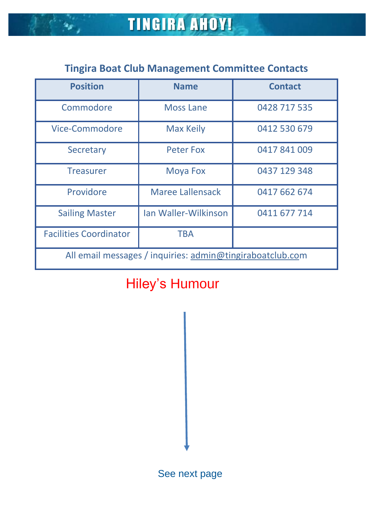$\frac{1}{2}$ 

## **Tingira Boat Club Management Committee Contacts**

| <b>Position</b>                                           | <b>Name</b>             | <b>Contact</b> |  |
|-----------------------------------------------------------|-------------------------|----------------|--|
| Commodore                                                 | <b>Moss Lane</b>        | 0428 717 535   |  |
| Vice-Commodore                                            | <b>Max Keily</b>        | 0412 530 679   |  |
| Secretary                                                 | <b>Peter Fox</b>        | 0417841009     |  |
| <b>Treasurer</b>                                          | <b>Moya Fox</b>         | 0437 129 348   |  |
| Providore                                                 | <b>Maree Lallensack</b> | 0417 662 674   |  |
| <b>Sailing Master</b>                                     | Ian Waller-Wilkinson    | 0411 677 714   |  |
| <b>Facilities Coordinator</b>                             | <b>TBA</b>              |                |  |
| All email messages / inquiries: admin@tingiraboatclub.com |                         |                |  |

# Hiley's Humour

See next page